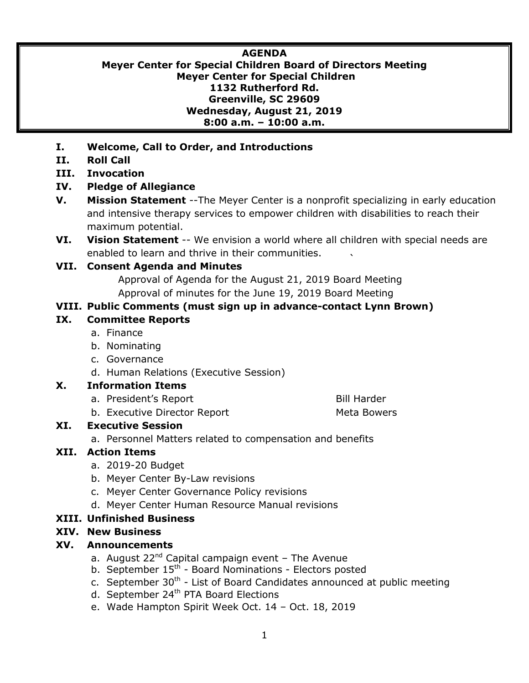#### **AGENDA**

**Meyer Center for Special Children Board of Directors Meeting Meyer Center for Special Children 1132 Rutherford Rd. Greenville, SC 29609 Wednesday, August 21, 2019 8:00 a.m. – 10:00 a.m.**

- **I. Welcome, Call to Order, and Introductions**
- **II. Roll Call**
- **III. Invocation**

## **IV. Pledge of Allegiance**

- **V. Mission Statement** --The Meyer Center is a nonprofit specializing in early education and intensive therapy services to empower children with disabilities to reach their maximum potential.
- **VI. Vision Statement** -- We envision a world where all children with special needs are enabled to learn and thrive in their communities.

#### **VII. Consent Agenda and Minutes**

Approval of Agenda for the August 21, 2019 Board Meeting Approval of minutes for the June 19, 2019 Board Meeting

## **VIII. Public Comments (must sign up in advance-contact Lynn Brown)**

#### **IX. Committee Reports**

- a. Finance
- b. Nominating
- c. Governance
- d. Human Relations (Executive Session)

#### **X. Information Items**

- a. President's Report Bill Harder
- b. Executive Director Report Meta Bowers

## **XI. Executive Session**

a. Personnel Matters related to compensation and benefits

## **XII. Action Items**

- a. 2019-20 Budget
- b. Meyer Center By-Law revisions
- c. Meyer Center Governance Policy revisions
- d. Meyer Center Human Resource Manual revisions

## **XIII. Unfinished Business**

## **XIV. New Business**

## **XV. Announcements**

- a. August  $22^{nd}$  Capital campaign event The Avenue
- b. September 15<sup>th</sup> Board Nominations Electors posted
- c. September 30<sup>th</sup> List of Board Candidates announced at public meeting
- d. September 24<sup>th</sup> PTA Board Elections
- e. Wade Hampton Spirit Week Oct. 14 Oct. 18, 2019